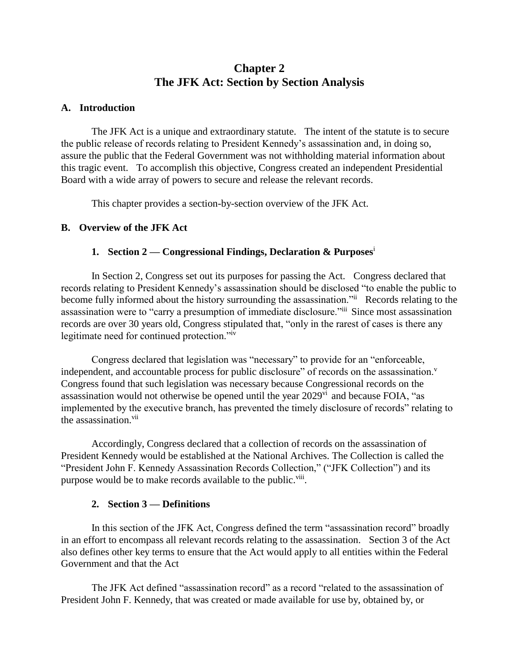# **Chapter 2 The JFK Act: Section by Section Analysis**

### **A. Introduction**

The JFK Act is a unique and extraordinary statute. The intent of the statute is to secure the public release of records relating to President Kennedy's assassination and, in doing so, assure the public that the Federal Government was not withholding material information about this tragic event. To accomplish this objective, Congress created an independent Presidential Board with a wide array of powers to secure and release the relevant records.

This chapter provides a section-by-section overview of the JFK Act.

# **B. Overview of the JFK Act**

# **1. Section 2 — Congressional Findings, Declaration & Purposes**<sup>i</sup>

In Section 2, Congress set out its purposes for passing the Act. Congress declared that records relating to President Kennedy's assassination should be disclosed "to enable the public to become fully informed about the history surrounding the assassination." Records relating to the assassination were to "carry a presumption of immediate disclosure."iii Since most assassination records are over 30 years old, Congress stipulated that, "only in the rarest of cases is there any legitimate need for continued protection."iv

Congress declared that legislation was "necessary" to provide for an "enforceable, independent, and accountable process for public disclosure" of records on the assassination.<sup>v</sup> Congress found that such legislation was necessary because Congressional records on the assassination would not otherwise be opened until the year  $2029$ <sup>vi</sup> and because FOIA, "as implemented by the executive branch, has prevented the timely disclosure of records" relating to the assassination.<sup>vii</sup>

Accordingly, Congress declared that a collection of records on the assassination of President Kennedy would be established at the National Archives. The Collection is called the "President John F. Kennedy Assassination Records Collection," ("JFK Collection") and its purpose would be to make records available to the public.<sup>viii</sup>.

# **2. Section 3 — Definitions**

In this section of the JFK Act, Congress defined the term "assassination record" broadly in an effort to encompass all relevant records relating to the assassination. Section 3 of the Act also defines other key terms to ensure that the Act would apply to all entities within the Federal Government and that the Act

The JFK Act defined "assassination record" as a record "related to the assassination of President John F. Kennedy, that was created or made available for use by, obtained by, or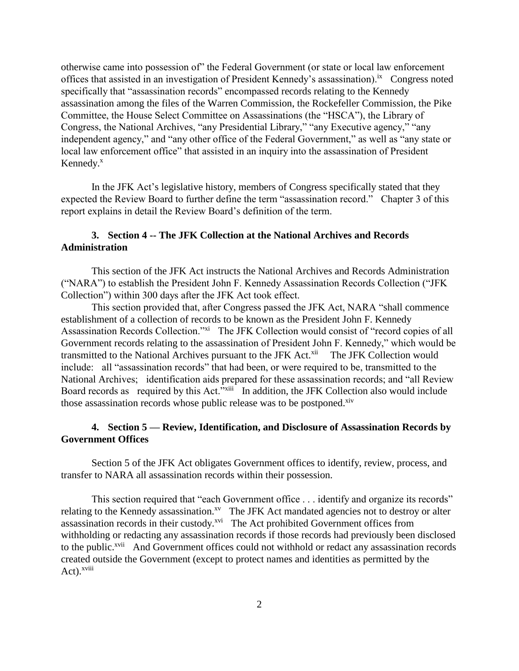otherwise came into possession of" the Federal Government (or state or local law enforcement offices that assisted in an investigation of President Kennedy's assassination).<sup>ix</sup> Congress noted specifically that "assassination records" encompassed records relating to the Kennedy assassination among the files of the Warren Commission, the Rockefeller Commission, the Pike Committee, the House Select Committee on Assassinations (the "HSCA"), the Library of Congress, the National Archives, "any Presidential Library," "any Executive agency," "any independent agency," and "any other office of the Federal Government," as well as "any state or local law enforcement office" that assisted in an inquiry into the assassination of President Kennedy. $x$ 

In the JFK Act's legislative history, members of Congress specifically stated that they expected the Review Board to further define the term "assassination record." Chapter 3 of this report explains in detail the Review Board's definition of the term.

# **3. Section 4 -- The JFK Collection at the National Archives and Records Administration**

This section of the JFK Act instructs the National Archives and Records Administration ("NARA") to establish the President John F. Kennedy Assassination Records Collection ("JFK Collection") within 300 days after the JFK Act took effect.

This section provided that, after Congress passed the JFK Act, NARA "shall commence establishment of a collection of records to be known as the President John F. Kennedy Assassination Records Collection."xi The JFK Collection would consist of "record copies of all Government records relating to the assassination of President John F. Kennedy," which would be transmitted to the National Archives pursuant to the JFK Act.<sup>xii</sup> The JFK Collection would include: all "assassination records" that had been, or were required to be, transmitted to the National Archives; identification aids prepared for these assassination records; and "all Review Board records as required by this Act."<sup>xiii</sup> In addition, the JFK Collection also would include those assassination records whose public release was to be postponed.<sup>xiv</sup>

# **4. Section 5 — Review, Identification, and Disclosure of Assassination Records by Government Offices**

Section 5 of the JFK Act obligates Government offices to identify, review, process, and transfer to NARA all assassination records within their possession.

This section required that "each Government office . . . identify and organize its records" relating to the Kennedy assassination.<sup>xv</sup> The JFK Act mandated agencies not to destroy or alter assassination records in their custody.<sup>xvi</sup> The Act prohibited Government offices from withholding or redacting any assassination records if those records had previously been disclosed to the public.<sup>xvii</sup> And Government offices could not withhold or redact any assassination records created outside the Government (except to protect names and identities as permitted by the Act).<sup>xviii</sup>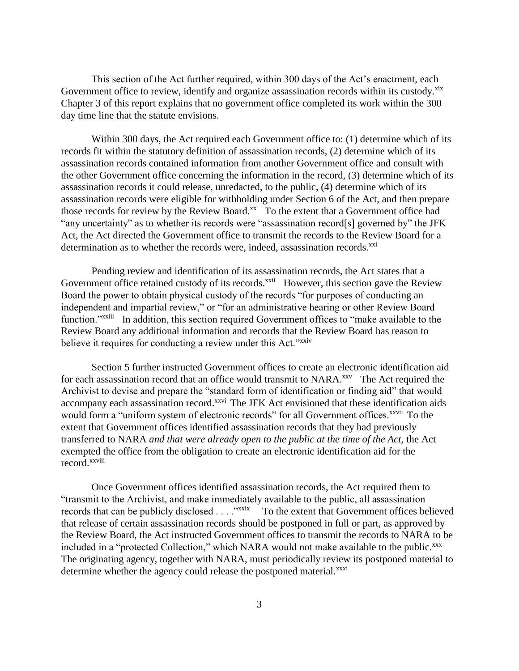This section of the Act further required, within 300 days of the Act's enactment, each Government office to review, identify and organize assassination records within its custody. Xix Chapter 3 of this report explains that no government office completed its work within the 300 day time line that the statute envisions.

Within 300 days, the Act required each Government office to: (1) determine which of its records fit within the statutory definition of assassination records, (2) determine which of its assassination records contained information from another Government office and consult with the other Government office concerning the information in the record, (3) determine which of its assassination records it could release, unredacted, to the public, (4) determine which of its assassination records were eligible for withholding under Section 6 of the Act, and then prepare those records for review by the Review Board.<sup>xx</sup> To the extent that a Government office had "any uncertainty" as to whether its records were "assassination record[s] governed by" the JFK Act, the Act directed the Government office to transmit the records to the Review Board for a determination as to whether the records were, indeed, assassination records.<sup>xxi</sup>

Pending review and identification of its assassination records, the Act states that a Government office retained custody of its records.<sup>xxii</sup> However, this section gave the Review Board the power to obtain physical custody of the records "for purposes of conducting an independent and impartial review," or "for an administrative hearing or other Review Board function."<sup>xxiii</sup> In addition, this section required Government offices to "make available to the Review Board any additional information and records that the Review Board has reason to believe it requires for conducting a review under this Act."<sup>xxiv</sup>

Section 5 further instructed Government offices to create an electronic identification aid for each assassination record that an office would transmit to NARA.<sup>xxv</sup> The Act required the Archivist to devise and prepare the "standard form of identification or finding aid" that would accompany each assassination record.<sup>xxvi</sup> The JFK Act envisioned that these identification aids would form a "uniform system of electronic records" for all Government offices.<sup>xxvii</sup> To the extent that Government offices identified assassination records that they had previously transferred to NARA *and that were already open to the public at the time of the Act,* the Act exempted the office from the obligation to create an electronic identification aid for the record.xxviii

Once Government offices identified assassination records, the Act required them to "transmit to the Archivist, and make immediately available to the public, all assassination records that can be publicly disclosed . . . . "xxix To the extent that Government offices believed that release of certain assassination records should be postponed in full or part, as approved by the Review Board, the Act instructed Government offices to transmit the records to NARA to be included in a "protected Collection," which NARA would not make available to the public.<sup>xxx</sup> The originating agency, together with NARA, must periodically review its postponed material to determine whether the agency could release the postponed material.<sup>xxxi</sup>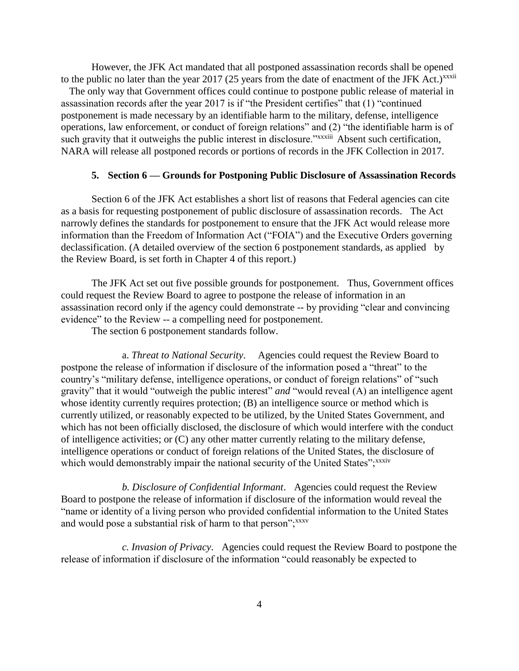However, the JFK Act mandated that all postponed assassination records shall be opened to the public no later than the year  $2017$  (25 years from the date of enactment of the JFK Act.)<sup>xxxii</sup>

 The only way that Government offices could continue to postpone public release of material in assassination records after the year 2017 is if "the President certifies" that (1) "continued postponement is made necessary by an identifiable harm to the military, defense, intelligence operations, law enforcement, or conduct of foreign relations" and (2) "the identifiable harm is of such gravity that it outweighs the public interest in disclosure."*xxxiii* Absent such certification, NARA will release all postponed records or portions of records in the JFK Collection in 2017.

#### **5. Section 6 — Grounds for Postponing Public Disclosure of Assassination Records**

Section 6 of the JFK Act establishes a short list of reasons that Federal agencies can cite as a basis for requesting postponement of public disclosure of assassination records. The Act narrowly defines the standards for postponement to ensure that the JFK Act would release more information than the Freedom of Information Act ("FOIA") and the Executive Orders governing declassification. (A detailed overview of the section 6 postponement standards, as applied by the Review Board, is set forth in Chapter 4 of this report.)

The JFK Act set out five possible grounds for postponement. Thus, Government offices could request the Review Board to agree to postpone the release of information in an assassination record only if the agency could demonstrate -- by providing "clear and convincing evidence" to the Review -- a compelling need for postponement.

The section 6 postponement standards follow.

a. *Threat to National Security*. Agencies could request the Review Board to postpone the release of information if disclosure of the information posed a "threat" to the country's "military defense, intelligence operations, or conduct of foreign relations" of "such gravity" that it would "outweigh the public interest" *and* "would reveal (A) an intelligence agent whose identity currently requires protection; (B) an intelligence source or method which is currently utilized, or reasonably expected to be utilized, by the United States Government, and which has not been officially disclosed, the disclosure of which would interfere with the conduct of intelligence activities; or (C) any other matter currently relating to the military defense, intelligence operations or conduct of foreign relations of the United States, the disclosure of which would demonstrably impair the national security of the United States"; xxxiv

*b. Disclosure of Confidential Informant*. Agencies could request the Review Board to postpone the release of information if disclosure of the information would reveal the "name or identity of a living person who provided confidential information to the United States and would pose a substantial risk of harm to that person"; xxxv

*c. Invasion of Privacy*. Agencies could request the Review Board to postpone the release of information if disclosure of the information "could reasonably be expected to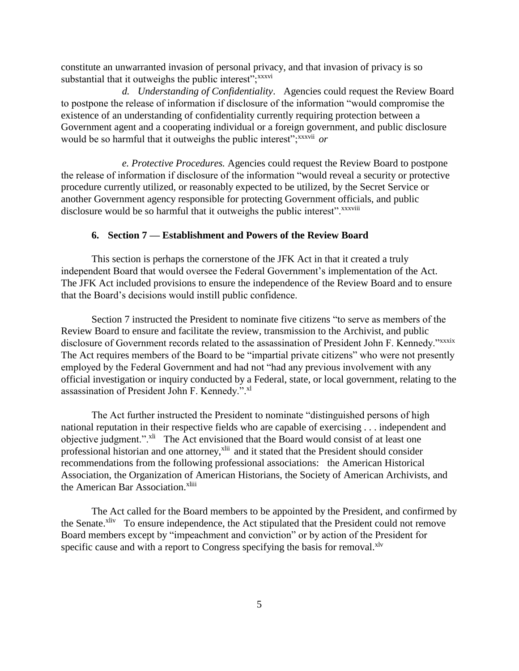constitute an unwarranted invasion of personal privacy, and that invasion of privacy is so substantial that it outweighs the public interest";<sup>xxxvi</sup>

*d. Understanding of Confidentiality*. Agencies could request the Review Board to postpone the release of information if disclosure of the information "would compromise the existence of an understanding of confidentiality currently requiring protection between a Government agent and a cooperating individual or a foreign government, and public disclosure would be so harmful that it outweighs the public interest";xxxvii *or*

*e. Protective Procedures.* Agencies could request the Review Board to postpone the release of information if disclosure of the information "would reveal a security or protective procedure currently utilized, or reasonably expected to be utilized, by the Secret Service or another Government agency responsible for protecting Government officials, and public disclosure would be so harmful that it outweighs the public interest".<sup>xxxviii</sup>

#### **6. Section 7 — Establishment and Powers of the Review Board**

This section is perhaps the cornerstone of the JFK Act in that it created a truly independent Board that would oversee the Federal Government's implementation of the Act. The JFK Act included provisions to ensure the independence of the Review Board and to ensure that the Board's decisions would instill public confidence.

Section 7 instructed the President to nominate five citizens "to serve as members of the Review Board to ensure and facilitate the review, transmission to the Archivist, and public disclosure of Government records related to the assassination of President John F. Kennedy."xxxix The Act requires members of the Board to be "impartial private citizens" who were not presently employed by the Federal Government and had not "had any previous involvement with any official investigation or inquiry conducted by a Federal, state, or local government, relating to the assassination of President John F. Kennedy.".xl

The Act further instructed the President to nominate "distinguished persons of high national reputation in their respective fields who are capable of exercising . . . independent and objective judgment.".<sup>xli</sup> The Act envisioned that the Board would consist of at least one professional historian and one attorney,<sup>xlii</sup> and it stated that the President should consider recommendations from the following professional associations: the American Historical Association, the Organization of American Historians, the Society of American Archivists, and the American Bar Association.<sup>xliii</sup>

The Act called for the Board members to be appointed by the President, and confirmed by the Senate.<sup>xliv</sup> To ensure independence, the Act stipulated that the President could not remove Board members except by "impeachment and conviction" or by action of the President for specific cause and with a report to Congress specifying the basis for removal.<sup>xlv</sup>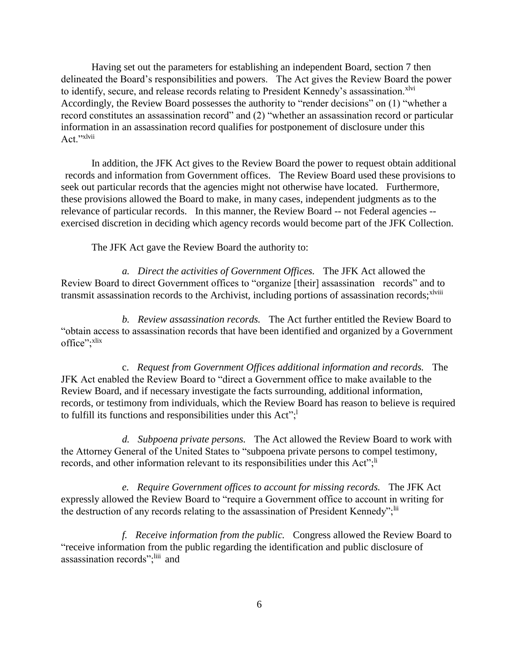Having set out the parameters for establishing an independent Board, section 7 then delineated the Board's responsibilities and powers. The Act gives the Review Board the power to identify, secure, and release records relating to President Kennedy's assassination.<sup>xlvi</sup> Accordingly, the Review Board possesses the authority to "render decisions" on (1) "whether a record constitutes an assassination record" and (2) "whether an assassination record or particular information in an assassination record qualifies for postponement of disclosure under this Act<sup>"xlvii</sup>

In addition, the JFK Act gives to the Review Board the power to request obtain additional records and information from Government offices. The Review Board used these provisions to seek out particular records that the agencies might not otherwise have located. Furthermore, these provisions allowed the Board to make, in many cases, independent judgments as to the relevance of particular records. In this manner, the Review Board -- not Federal agencies - exercised discretion in deciding which agency records would become part of the JFK Collection.

The JFK Act gave the Review Board the authority to:

*a. Direct the activities of Government Offices.* The JFK Act allowed the Review Board to direct Government offices to "organize [their] assassination records" and to transmit assassination records to the Archivist, including portions of assassination records;<sup>xlviii</sup>

*b. Review assassination records.* The Act further entitled the Review Board to "obtain access to assassination records that have been identified and organized by a Government office"; xlix

c. *Request from Government Offices additional information and records.* The JFK Act enabled the Review Board to "direct a Government office to make available to the Review Board, and if necessary investigate the facts surrounding, additional information, records, or testimony from individuals, which the Review Board has reason to believe is required to fulfill its functions and responsibilities under this Act";

*d. Subpoena private persons.* The Act allowed the Review Board to work with the Attorney General of the United States to "subpoena private persons to compel testimony, records, and other information relevant to its responsibilities under this Act";<sup>li</sup>

*e. Require Government offices to account for missing records.* The JFK Act expressly allowed the Review Board to "require a Government office to account in writing for the destruction of any records relating to the assassination of President Kennedy"; lii

*f. Receive information from the public.* Congress allowed the Review Board to "receive information from the public regarding the identification and public disclosure of assassination records";<sup>liii</sup> and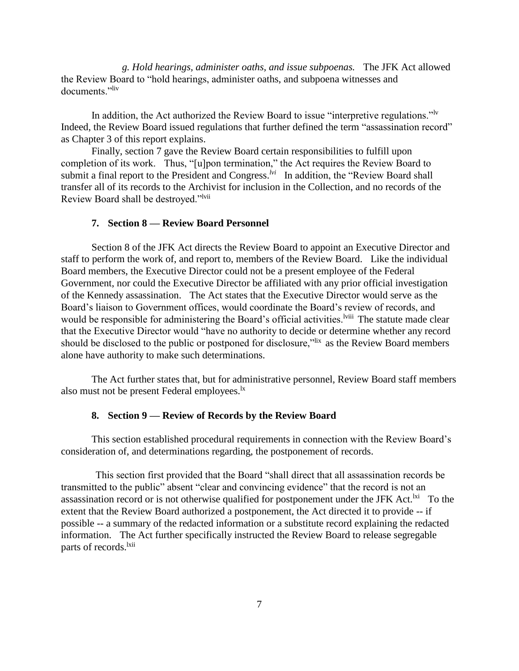*g. Hold hearings, administer oaths, and issue subpoenas.* The JFK Act allowed the Review Board to "hold hearings, administer oaths, and subpoena witnesses and documents<sup>",liv</sup>

In addition, the Act authorized the Review Board to issue "interpretive regulations."<sup>lv</sup> Indeed, the Review Board issued regulations that further defined the term "assassination record" as Chapter 3 of this report explains.

Finally, section 7 gave the Review Board certain responsibilities to fulfill upon completion of its work. Thus, "[u]pon termination," the Act requires the Review Board to submit a final report to the President and Congress.<sup>*lvi*</sup> In addition, the "Review Board shall transfer all of its records to the Archivist for inclusion in the Collection, and no records of the Review Board shall be destroyed."<sup>lvii</sup>

### **7. Section 8 — Review Board Personnel**

Section 8 of the JFK Act directs the Review Board to appoint an Executive Director and staff to perform the work of, and report to, members of the Review Board. Like the individual Board members, the Executive Director could not be a present employee of the Federal Government, nor could the Executive Director be affiliated with any prior official investigation of the Kennedy assassination. The Act states that the Executive Director would serve as the Board's liaison to Government offices, would coordinate the Board's review of records, and would be responsible for administering the Board's official activities.<sup>Iviii</sup> The statute made clear that the Executive Director would "have no authority to decide or determine whether any record should be disclosed to the public or postponed for disclosure,"lix as the Review Board members alone have authority to make such determinations.

The Act further states that, but for administrative personnel, Review Board staff members also must not be present Federal employees.<sup>1x</sup>

### **8. Section 9 — Review of Records by the Review Board**

This section established procedural requirements in connection with the Review Board's consideration of, and determinations regarding, the postponement of records.

This section first provided that the Board "shall direct that all assassination records be transmitted to the public" absent "clear and convincing evidence" that the record is not an assassination record or is not otherwise qualified for postponement under the JFK Act.<sup> $\text{ki}$ </sup> To the extent that the Review Board authorized a postponement, the Act directed it to provide -- if possible -- a summary of the redacted information or a substitute record explaining the redacted information. The Act further specifically instructed the Review Board to release segregable parts of records.<sup>lxii</sup>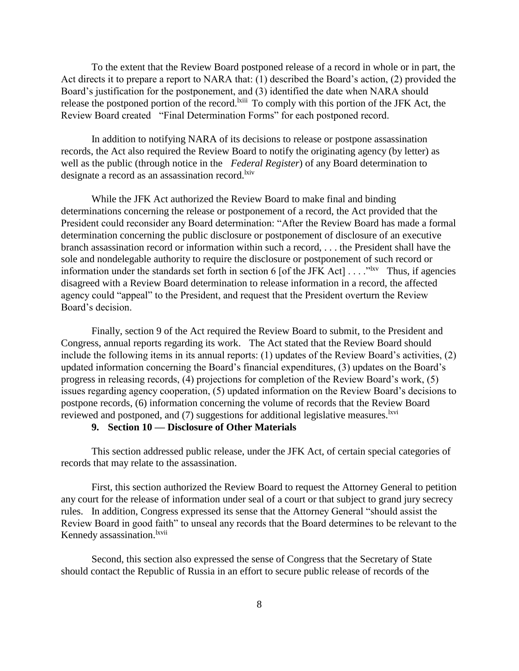To the extent that the Review Board postponed release of a record in whole or in part, the Act directs it to prepare a report to NARA that: (1) described the Board's action, (2) provided the Board's justification for the postponement, and (3) identified the date when NARA should release the postponed portion of the record.<sup>Ixiii</sup> To comply with this portion of the JFK Act, the Review Board created "Final Determination Forms" for each postponed record.

In addition to notifying NARA of its decisions to release or postpone assassination records, the Act also required the Review Board to notify the originating agency (by letter) as well as the public (through notice in the *Federal Register*) of any Board determination to designate a record as an assassination record.<sup>kiv</sup>

While the JFK Act authorized the Review Board to make final and binding determinations concerning the release or postponement of a record, the Act provided that the President could reconsider any Board determination: "After the Review Board has made a formal determination concerning the public disclosure or postponement of disclosure of an executive branch assassination record or information within such a record, . . . the President shall have the sole and nondelegable authority to require the disclosure or postponement of such record or information under the standards set forth in section 6 [of the JFK Act]  $\dots$ <sup>Nxv</sup> Thus, if agencies disagreed with a Review Board determination to release information in a record, the affected agency could "appeal" to the President, and request that the President overturn the Review Board's decision.

Finally, section 9 of the Act required the Review Board to submit, to the President and Congress, annual reports regarding its work. The Act stated that the Review Board should include the following items in its annual reports: (1) updates of the Review Board's activities, (2) updated information concerning the Board's financial expenditures, (3) updates on the Board's progress in releasing records, (4) projections for completion of the Review Board's work, (5) issues regarding agency cooperation, (5) updated information on the Review Board's decisions to postpone records, (6) information concerning the volume of records that the Review Board reviewed and postponed, and  $(7)$  suggestions for additional legislative measures.<sup>lxvi</sup>

### **9. Section 10 — Disclosure of Other Materials**

This section addressed public release, under the JFK Act, of certain special categories of records that may relate to the assassination.

First, this section authorized the Review Board to request the Attorney General to petition any court for the release of information under seal of a court or that subject to grand jury secrecy rules. In addition, Congress expressed its sense that the Attorney General "should assist the Review Board in good faith" to unseal any records that the Board determines to be relevant to the Kennedy assassination.<sup>lxvii</sup>

Second, this section also expressed the sense of Congress that the Secretary of State should contact the Republic of Russia in an effort to secure public release of records of the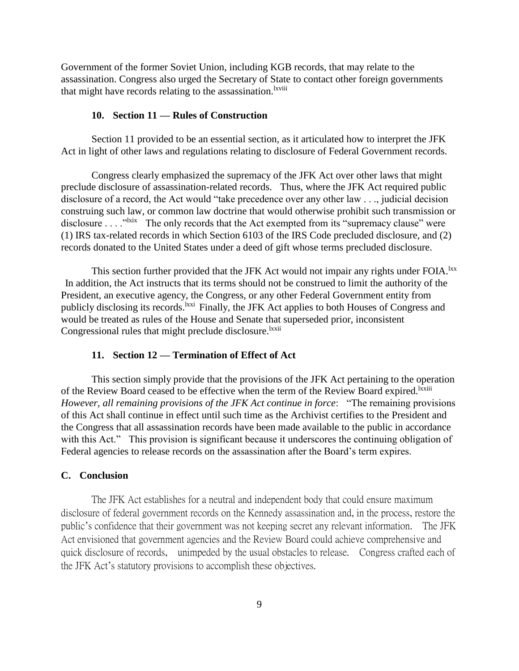Government of the former Soviet Union, including KGB records, that may relate to the assassination. Congress also urged the Secretary of State to contact other foreign governments that might have records relating to the assassination.<sup>Ixviii</sup>

#### **10. Section 11 — Rules of Construction**

Section 11 provided to be an essential section, as it articulated how to interpret the JFK Act in light of other laws and regulations relating to disclosure of Federal Government records.

Congress clearly emphasized the supremacy of the JFK Act over other laws that might preclude disclosure of assassination-related records. Thus, where the JFK Act required public disclosure of a record, the Act would "take precedence over any other law . . ., judicial decision construing such law, or common law doctrine that would otherwise prohibit such transmission or disclosure  $\ldots$ <sup>"lxix</sup> The only records that the Act exempted from its "supremacy clause" were (1) IRS tax-related records in which Section 6103 of the IRS Code precluded disclosure, and (2) records donated to the United States under a deed of gift whose terms precluded disclosure.

This section further provided that the JFK Act would not impair any rights under FOIA.<sup>lxx</sup> In addition, the Act instructs that its terms should not be construed to limit the authority of the President, an executive agency, the Congress, or any other Federal Government entity from publicly disclosing its records.<sup>1xxi</sup> Finally, the JFK Act applies to both Houses of Congress and would be treated as rules of the House and Senate that superseded prior, inconsistent Congressional rules that might preclude disclosure.<sup>lxxii</sup>

### **11. Section 12 — Termination of Effect of Act**

This section simply provide that the provisions of the JFK Act pertaining to the operation of the Review Board ceased to be effective when the term of the Review Board expired.<sup>Ixxiii</sup> *However, all remaining provisions of the JFK Act continue in force*: "The remaining provisions of this Act shall continue in effect until such time as the Archivist certifies to the President and the Congress that all assassination records have been made available to the public in accordance with this Act." This provision is significant because it underscores the continuing obligation of Federal agencies to release records on the assassination after the Board's term expires.

## **C. Conclusion**

The JFK Act establishes for a neutral and independent body that could ensure maximum disclosure of federal government records on the Kennedy assassination and, in the process, restore the public's confidence that their government was not keeping secret any relevant information. The JFK Act envisioned that government agencies and the Review Board could achieve comprehensive and quick disclosure of records, unimpeded by the usual obstacles to release. Congress crafted each of the JFK Act's statutory provisions to accomplish these objectives.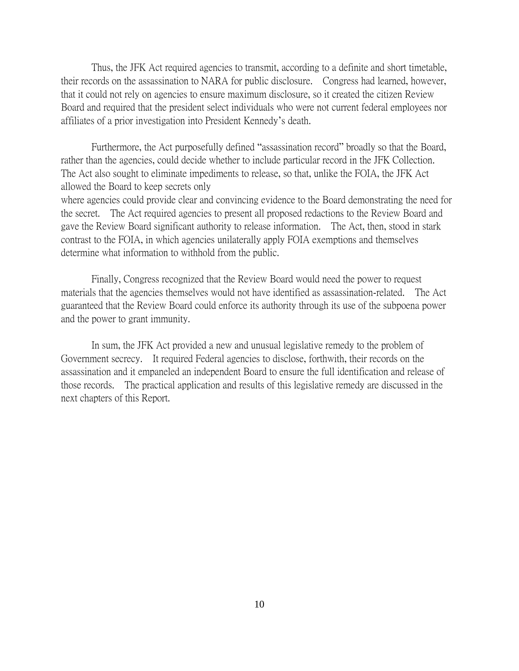Thus, the JFK Act required agencies to transmit, according to a definite and short timetable, their records on the assassination to NARA for public disclosure. Congress had learned, however, that it could not rely on agencies to ensure maximum disclosure, so it created the citizen Review Board and required that the president select individuals who were not current federal employees nor affiliates of a prior investigation into President Kennedy's death.

Furthermore, the Act purposefully defined "assassination record" broadly so that the Board, rather than the agencies, could decide whether to include particular record in the JFK Collection. The Act also sought to eliminate impediments to release, so that, unlike the FOIA, the JFK Act allowed the Board to keep secrets only

where agencies could provide clear and convincing evidence to the Board demonstrating the need for the secret. The Act required agencies to present all proposed redactions to the Review Board and gave the Review Board significant authority to release information. The Act, then, stood in stark contrast to the FOIA, in which agencies unilaterally apply FOIA exemptions and themselves determine what information to withhold from the public.

Finally, Congress recognized that the Review Board would need the power to request materials that the agencies themselves would not have identified as assassination-related. The Act guaranteed that the Review Board could enforce its authority through its use of the subpoena power and the power to grant immunity.

In sum, the JFK Act provided a new and unusual legislative remedy to the problem of Government secrecy. It required Federal agencies to disclose, forthwith, their records on the assassination and it empaneled an independent Board to ensure the full identification and release of those records. The practical application and results of this legislative remedy are discussed in the next chapters of this Report.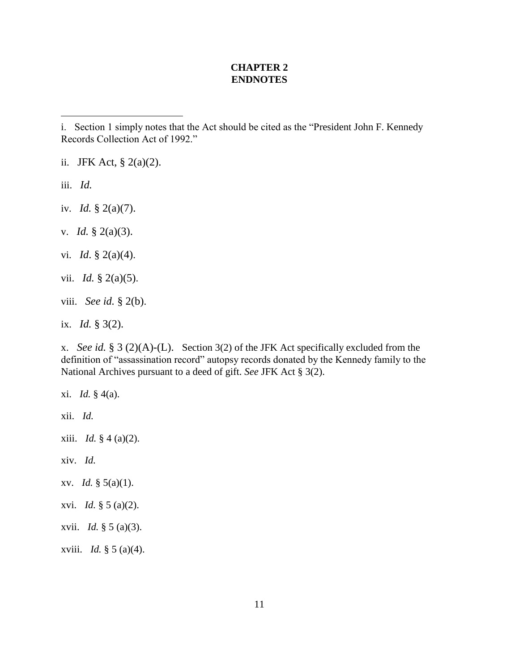### **CHAPTER 2 ENDNOTES**

ii. JFK Act,  $\S$  2(a)(2).

iii. *Id.*

 $\overline{a}$ 

iv. *Id.* § 2(a)(7).

- v. *Id.* § 2(a)(3).
- vi. *Id*. § 2(a)(4).
- vii. *Id.* § 2(a)(5).
- viii. *See id.* § 2(b).
- ix. *Id.* § 3(2).

x. *See id.* § 3 (2)(A)-(L). Section 3(2) of the JFK Act specifically excluded from the definition of "assassination record" autopsy records donated by the Kennedy family to the National Archives pursuant to a deed of gift. *See* JFK Act § 3(2).

- xi. *Id.* § 4(a).
- xii. *Id.*
- xiii. *Id.* § 4 (a)(2).
- xiv. *Id.*
- xv. *Id.* § 5(a)(1).
- xvi. *Id.* § 5 (a)(2).
- xvii. *Id.* § 5 (a)(3).
- xviii. *Id.* § 5 (a)(4).

i. Section 1 simply notes that the Act should be cited as the "President John F. Kennedy Records Collection Act of 1992."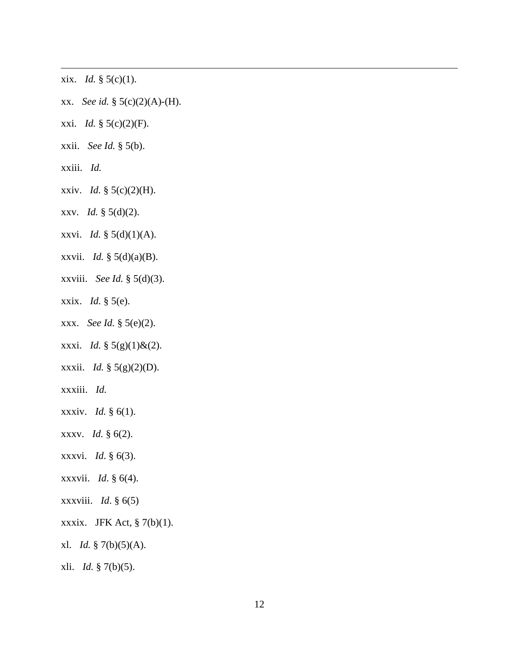- xix. *Id.* § 5(c)(1).
- xx. *See id.* § 5(c)(2)(A)-(H).
- xxi. *Id.* § 5(c)(2)(F).
- xxii. *See Id.* § 5(b).
- xxiii. *Id.*

 $\overline{a}$ 

- xxiv. *Id.* § 5(c)(2)(H).
- xxv. *Id.* § 5(d)(2).
- xxvi. *Id.* § 5(d)(1)(A).
- xxvii. *Id.* § 5(d)(a)(B).
- xxviii. *See Id.* § 5(d)(3).
- xxix. *Id.* § 5(e).
- xxx. *See Id.* § 5(e)(2).
- xxxi. *Id.* § 5(g)(1)&(2).
- xxxii. *Id.* § 5(g)(2)(D).
- xxxiii. *Id.*
- xxxiv. *Id.* § 6(1).
- xxxv. *Id.* § 6(2).
- xxxvi. *Id*. § 6(3).
- xxxvii. *Id*. § 6(4).
- xxxviii. *Id*. § 6(5)
- xxxix. JFK Act,  $\S$  7(b)(1).
- xl. *Id.* § 7(b)(5)(A).
- xli. *Id.* § 7(b)(5).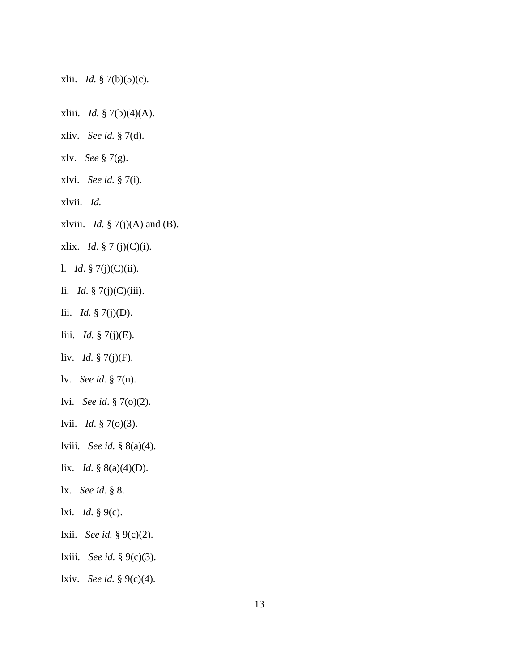xlii. *Id.* § 7(b)(5)(c).

 $\overline{a}$ 

xliii. *Id.* § 7(b)(4)(A).

- xliv. *See id.* § 7(d).
- xlv. *See* § 7(g).
- xlvi. *See id.* § 7(i).
- xlvii. *Id.*
- xlviii. *Id.* § 7(j)(A) and (B).
- xlix. *Id*. § 7 (j)(C)(i).
- l. *Id*. § 7(j)(C)(ii).
- li. *Id*. § 7(j)(C)(iii).
- lii. *Id.* § 7(j)(D).
- liii. *Id.* § 7(j)(E).
- liv. *Id.* § 7(j)(F).
- lv. *See id.* § 7(n).
- lvi. *See id*. § 7(o)(2).
- lvii. *Id*. § 7(o)(3).
- lviii. *See id.* § 8(a)(4).
- lix. *Id.* § 8(a)(4)(D).
- lx. *See id.* § 8.
- lxi. *Id.* § 9(c).
- lxii. *See id.* § 9(c)(2).
- lxiii. *See id.* § 9(c)(3).
- lxiv. *See id.* § 9(c)(4).